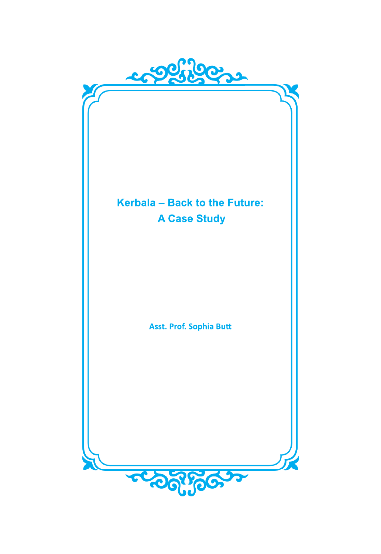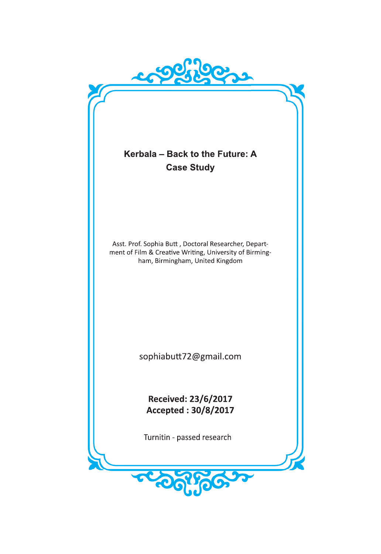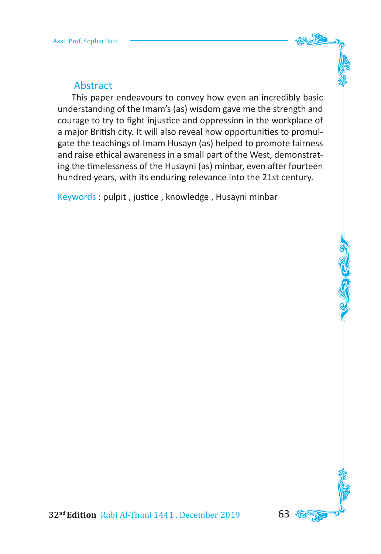# Abstract

 This paper endeavours to convey how even an incredibly basic understanding of the Imam's (as) wisdom gave me the strength and courage to try to fight injustice and oppression in the workplace of a major British city. It will also reveal how opportunities to promulgate the teachings of Imam Husayn (as) helped to promote fairness and raise ethical awareness in a small part of the West, demonstrating the timelessness of the Husayni (as) minbar, even after fourteen hundred years, with its enduring relevance into the 21st century.

Keywords : pulpit , justice , knowledge , Husayni minbar

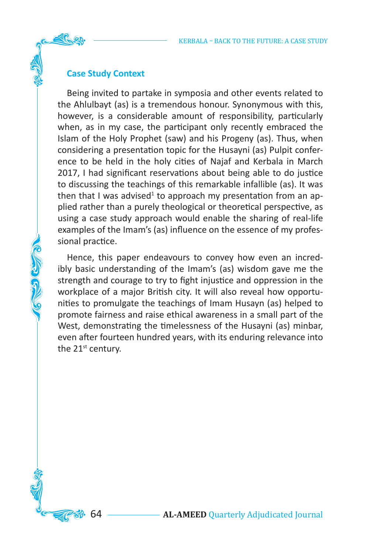# **Case Study Context**

**CONSCRIPTION** 

Being invited to partake in symposia and other events related to the Ahlulbayt (as) is a tremendous honour. Synonymous with this, however, is a considerable amount of responsibility, particularly when, as in my case, the participant only recently embraced the Islam of the Holy Prophet (saw) and his Progeny (as). Thus, when considering a presentation topic for the Husayni (as) Pulpit conference to be held in the holy cities of Najaf and Kerbala in March 2017, I had significant reservations about being able to do justice to discussing the teachings of this remarkable infallible (as). It was then that I was advised<sup>1</sup> to approach my presentation from an applied rather than a purely theological or theoretical perspective, as using a case study approach would enable the sharing of real-life examples of the Imam's (as) influence on the essence of my professional practice.

Hence, this paper endeavours to convey how even an incredibly basic understanding of the Imam's (as) wisdom gave me the strength and courage to try to fight injustice and oppression in the workplace of a major British city. It will also reveal how opportunities to promulgate the teachings of Imam Husayn (as) helped to promote fairness and raise ethical awareness in a small part of the West, demonstrating the timelessness of the Husayni (as) minbar, even after fourteen hundred years, with its enduring relevance into the 21<sup>st</sup> century.

64 **AL-AMEED** Quarterly Adjudicated Journal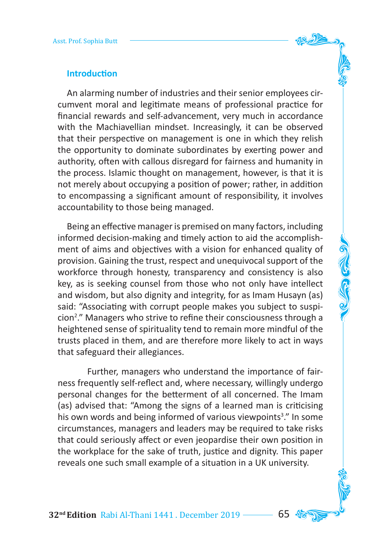

An alarming number of industries and their senior employees circumvent moral and legitimate means of professional practice for financial rewards and self-advancement, very much in accordance with the Machiavellian mindset. Increasingly, it can be observed that their perspective on management is one in which they relish the opportunity to dominate subordinates by exerting power and authority, often with callous disregard for fairness and humanity in the process. Islamic thought on management, however, is that it is not merely about occupying a position of power; rather, in addition to encompassing a significant amount of responsibility, it involves accountability to those being managed.

Being an effective manager is premised on many factors, including informed decision-making and timely action to aid the accomplishment of aims and objectives with a vision for enhanced quality of provision. Gaining the trust, respect and unequivocal support of the workforce through honesty, transparency and consistency is also key, as is seeking counsel from those who not only have intellect and wisdom, but also dignity and integrity, for as Imam Husayn (as) said: "Associating with corrupt people makes you subject to suspicion2 ." Managers who strive to refine their consciousness through a heightened sense of spirituality tend to remain more mindful of the trusts placed in them, and are therefore more likely to act in ways that safeguard their allegiances.

 Further, managers who understand the importance of fairness frequently self-reflect and, where necessary, willingly undergo personal changes for the betterment of all concerned. The Imam (as) advised that: "Among the signs of a learned man is criticising his own words and being informed of various viewpoints<sup>3</sup>." In some circumstances, managers and leaders may be required to take risks that could seriously affect or even jeopardise their own position in the workplace for the sake of truth, justice and dignity. This paper reveals one such small example of a situation in a UK university.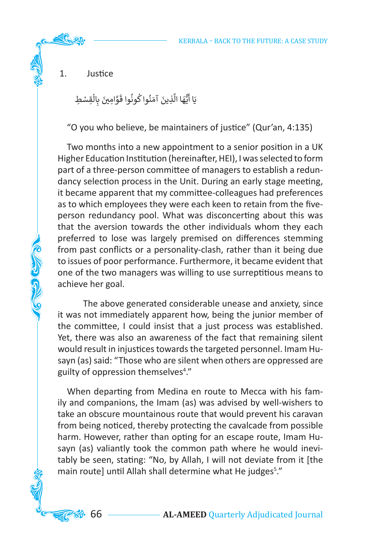1. Justice

**CERTIFICATE** 

֦֧<u>֝</u> يَا أَيُّهَا الَّذِينَ آمَنُوا كُونُوا قَوَّامِينَ بِالْقِسْطِ ֧֦֧֦֧֦֧֦֧֦֧֦֧֦֧֦֧֧֦֧֧֦֧֜֓֜֜֓<br>֧ׅ֜֜֜֜֜֜֜֜֜֬֜֟ ن َّ ֺׅ֝ ََُّ ٍ<br>ا ֺُّ֚

"O you who believe, be maintainers of justice" (Qur'an, 4:135)

Two months into a new appointment to a senior position in a UK Higher Education Institution (hereinafter, HEI), I was selected to form part of a three-person committee of managers to establish a redundancy selection process in the Unit. During an early stage meeting, it became apparent that my committee-colleagues had preferences as to which employees they were each keen to retain from the fiveperson redundancy pool. What was disconcerting about this was that the aversion towards the other individuals whom they each preferred to lose was largely premised on differences stemming from past conflicts or a personality-clash, rather than it being due to issues of poor performance. Furthermore, it became evident that one of the two managers was willing to use surreptitious means to achieve her goal.

 The above generated considerable unease and anxiety, since it was not immediately apparent how, being the junior member of the committee, I could insist that a just process was established. Yet, there was also an awareness of the fact that remaining silent would result in injustices towards the targeted personnel. Imam Husayn (as) said: "Those who are silent when others are oppressed are guilty of oppression themselves<sup>4</sup>."

When departing from Medina en route to Mecca with his family and companions, the Imam (as) was advised by well-wishers to take an obscure mountainous route that would prevent his caravan from being noticed, thereby protecting the cavalcade from possible harm. However, rather than opting for an escape route, Imam Husayn (as) valiantly took the common path where he would inevitably be seen, stating: "No, by Allah, I will not deviate from it [the main route] until Allah shall determine what He judges<sup>5</sup>."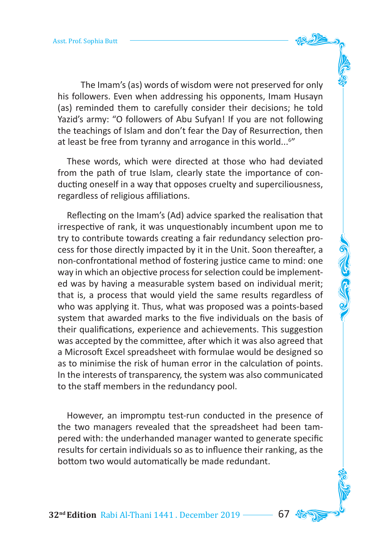The Imam's (as) words of wisdom were not preserved for only his followers. Even when addressing his opponents, Imam Husayn (as) reminded them to carefully consider their decisions; he told Yazid's army: "O followers of Abu Sufyan! If you are not following the teachings of Islam and don't fear the Day of Resurrection, then at least be free from tyranny and arrogance in this world...<sup>6"</sup>

These words, which were directed at those who had deviated from the path of true Islam, clearly state the importance of conducting oneself in a way that opposes cruelty and superciliousness, regardless of religious affiliations.

Reflecting on the Imam's (Ad) advice sparked the realisation that irrespective of rank, it was unquestionably incumbent upon me to try to contribute towards creating a fair redundancy selection process for those directly impacted by it in the Unit. Soon thereafter, a non-confrontational method of fostering justice came to mind: one way in which an objective process for selection could be implemented was by having a measurable system based on individual merit; that is, a process that would yield the same results regardless of who was applying it. Thus, what was proposed was a points-based system that awarded marks to the five individuals on the basis of their qualifications, experience and achievements. This suggestion was accepted by the committee, after which it was also agreed that a Microsoft Excel spreadsheet with formulae would be designed so as to minimise the risk of human error in the calculation of points. In the interests of transparency, the system was also communicated to the staff members in the redundancy pool.

However, an impromptu test-run conducted in the presence of the two managers revealed that the spreadsheet had been tampered with: the underhanded manager wanted to generate specific results for certain individuals so as to influence their ranking, as the bottom two would automatically be made redundant.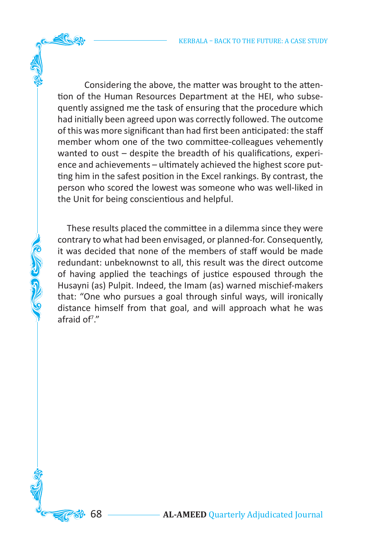Considering the above, the matter was brought to the attention of the Human Resources Department at the HEI, who subsequently assigned me the task of ensuring that the procedure which had initially been agreed upon was correctly followed. The outcome of this was more significant than had first been anticipated: the staff member whom one of the two committee-colleagues vehemently wanted to oust – despite the breadth of his qualifications, experience and achievements – ultimately achieved the highest score putting him in the safest position in the Excel rankings. By contrast, the person who scored the lowest was someone who was well-liked in the Unit for being conscientious and helpful.

These results placed the committee in a dilemma since they were contrary to what had been envisaged, or planned-for. Consequently, it was decided that none of the members of staff would be made redundant: unbeknownst to all, this result was the direct outcome of having applied the teachings of justice espoused through the Husayni (as) Pulpit. Indeed, the Imam (as) warned mischief-makers that: "One who pursues a goal through sinful ways, will ironically distance himself from that goal, and will approach what he was afraid of7 ."

あざめの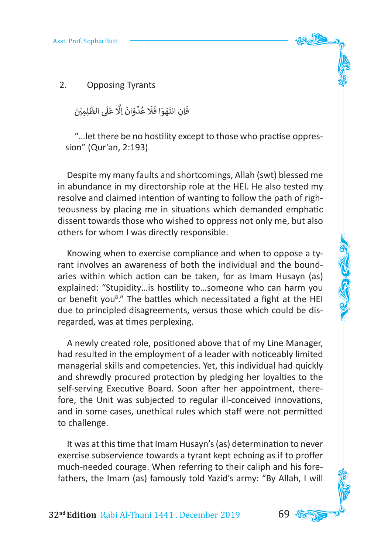

2. Opposing Tyrants

َ فَاِنِ انتَهَوۡا فَلَا عُدۡوَانَ اِلَّا عَلَى الظَّٰلِمِيۡنَ ׇ֖֦֧֦ׅׅׅׅׅׅׅׅׅׅׅׅ֛ׅ֛ׅ֛ׅ֛ׅ֧ׅׅ֧ׅׅׅ֚֚֓֝֜֓֡֝֝֝֡֝֡֝֡֝֡֜֜ ََ ׇَ֖֓ ٍ<br>پا ׇ֝ ََ ֺׅ֦ׅ֦ׅ֝֬֘֝֬֝֓֡֡

"…let there be no hostility except to those who practise oppression" (Qur'an, 2:193)

Despite my many faults and shortcomings, Allah (swt) blessed me in abundance in my directorship role at the HEI. He also tested my resolve and claimed intention of wanting to follow the path of righteousness by placing me in situations which demanded emphatic dissent towards those who wished to oppress not only me, but also others for whom I was directly responsible.

Knowing when to exercise compliance and when to oppose a tyrant involves an awareness of both the individual and the boundaries within which action can be taken, for as Imam Husayn (as) explained: "Stupidity…is hostility to…someone who can harm you or benefit you<sup>8</sup>." The battles which necessitated a fight at the HEI due to principled disagreements, versus those which could be disregarded, was at times perplexing.

A newly created role, positioned above that of my Line Manager, had resulted in the employment of a leader with noticeably limited managerial skills and competencies. Yet, this individual had quickly and shrewdly procured protection by pledging her loyalties to the self-serving Executive Board. Soon after her appointment, therefore, the Unit was subjected to regular ill-conceived innovations, and in some cases, unethical rules which staff were not permitted to challenge.

It was at this time that Imam Husayn's (as) determination to never exercise subservience towards a tyrant kept echoing as if to proffer much-needed courage. When referring to their caliph and his forefathers, the Imam (as) famously told Yazid's army: "By Allah, I will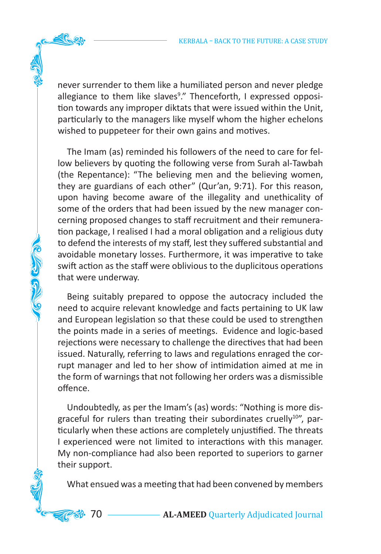never surrender to them like a humiliated person and never pledge allegiance to them like slaves<sup>9</sup>." Thenceforth, I expressed opposition towards any improper diktats that were issued within the Unit, particularly to the managers like myself whom the higher echelons wished to puppeteer for their own gains and motives.

The Imam (as) reminded his followers of the need to care for fellow believers by quoting the following verse from Surah al-Tawbah (the Repentance): "The believing men and the believing women, they are guardians of each other" (Qur'an, 9:71). For this reason, upon having become aware of the illegality and unethicality of some of the orders that had been issued by the new manager concerning proposed changes to staff recruitment and their remuneration package, I realised I had a moral obligation and a religious duty to defend the interests of my staff, lest they suffered substantial and avoidable monetary losses. Furthermore, it was imperative to take swift action as the staff were oblivious to the duplicitous operations that were underway.

**COLLEGED** 

Being suitably prepared to oppose the autocracy included the need to acquire relevant knowledge and facts pertaining to UK law and European legislation so that these could be used to strengthen the points made in a series of meetings. Evidence and logic-based rejections were necessary to challenge the directives that had been issued. Naturally, referring to laws and regulations enraged the corrupt manager and led to her show of intimidation aimed at me in the form of warnings that not following her orders was a dismissible offence.

Undoubtedly, as per the Imam's (as) words: "Nothing is more disgraceful for rulers than treating their subordinates cruelly<sup>10"</sup>, particularly when these actions are completely unjustified. The threats I experienced were not limited to interactions with this manager. My non-compliance had also been reported to superiors to garner their support.

What ensued was a meeting that had been convened by members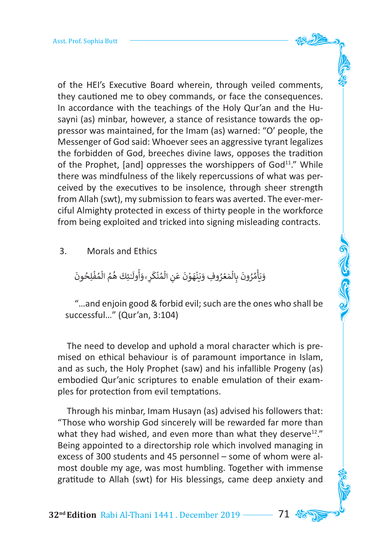of the HEI's Executive Board wherein, through veiled comments, they cautioned me to obey commands, or face the consequences. In accordance with the teachings of the Holy Qur'an and the Husayni (as) minbar, however, a stance of resistance towards the oppressor was maintained, for the Imam (as) warned: "O' people, the Messenger of God said: Whoever sees an aggressive tyrant legalizes the forbidden of God, breeches divine laws, opposes the tradition of the Prophet, [and] oppresses the worshippers of  $God<sup>11</sup>$ ." While there was mindfulness of the likely repercussions of what was perceived by the executives to be insolence, through sheer strength from Allah (swt), my submission to fears was averted. The ever-merciful Almighty protected in excess of thirty people in the workforce from being exploited and tricked into signing misleading contracts.

3. Morals and Ethics

َ ُوَيَأْمُرُونَ بِالْمَعْرُوفِ وَيَنْهَوْنَ عَنِ الْمُنْكَرِ ۚ وَأُولَـٰئِكَ هُمُ الْمُفْلِحُونَ ֦֧֦֧֦֧֦֧֦֧֦֧֦֧֦֧ׅ֧֜֓<u>֚</u> ُ֧֧֦֧֦֧֦֧֦֧֦֧֦֧֧֦֧֦֧֦ׅ֦֜֜֓֜֜֜֜֜֜֜֜֜֜֜֜֞֜֜֜ ُٰ ً<br>أ ُ أ َ َ ُ֦֧֧֧֦֧֧֦֧֝֟֝֟֟֓֝֟֓֓<u>֦֖֚</u> <u>ّ</u> ٍْ<br>أ ֦֧<u>֝</u> َ َ ٍ<br>ٌ ֧֧֟֓<u>֓</u>֖֚֓ َ֦֧֦֧֦֧֦֧֦֧֦֧ׅ֧֘֝֟֜֓<u>֦</u> ٍ<br>ا ُ֦֧֦֧<u>֓</u>֚֓ َ ֺ֧֦֧֚֝<u>֓</u>֚֓

"…and enjoin good & forbid evil; such are the ones who shall be successful…" (Qur'an, 3:104)

The need to develop and uphold a moral character which is premised on ethical behaviour is of paramount importance in Islam, and as such, the Holy Prophet (saw) and his infallible Progeny (as) embodied Qur'anic scriptures to enable emulation of their examples for protection from evil temptations.

Through his minbar, Imam Husayn (as) advised his followers that: "Those who worship God sincerely will be rewarded far more than what they had wished, and even more than what they deserve<sup>12</sup>." Being appointed to a directorship role which involved managing in excess of 300 students and 45 personnel – some of whom were almost double my age, was most humbling. Together with immense gratitude to Allah (swt) for His blessings, came deep anxiety and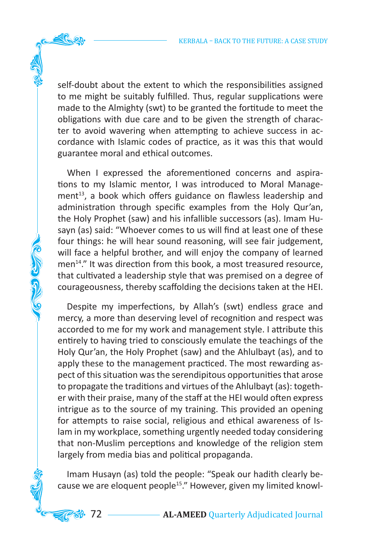self-doubt about the extent to which the responsibilities assigned to me might be suitably fulfilled. Thus, regular supplications were made to the Almighty (swt) to be granted the fortitude to meet the obligations with due care and to be given the strength of character to avoid wavering when attempting to achieve success in accordance with Islamic codes of practice, as it was this that would guarantee moral and ethical outcomes.

When I expressed the aforementioned concerns and aspirations to my Islamic mentor, I was introduced to Moral Management<sup>13</sup>, a book which offers guidance on flawless leadership and administration through specific examples from the Holy Qur'an, the Holy Prophet (saw) and his infallible successors (as). Imam Husayn (as) said: "Whoever comes to us will find at least one of these four things: he will hear sound reasoning, will see fair judgement, will face a helpful brother, and will enjoy the company of learned men<sup>14</sup>." It was direction from this book, a most treasured resource, that cultivated a leadership style that was premised on a degree of courageousness, thereby scaffolding the decisions taken at the HEI.

ふぎ むか

Despite my imperfections, by Allah's (swt) endless grace and mercy, a more than deserving level of recognition and respect was accorded to me for my work and management style. I attribute this entirely to having tried to consciously emulate the teachings of the Holy Qur'an, the Holy Prophet (saw) and the Ahlulbayt (as), and to apply these to the management practiced. The most rewarding aspect of this situation was the serendipitous opportunities that arose to propagate the traditions and virtues of the Ahlulbayt (as): together with their praise, many of the staff at the HEI would often express intrigue as to the source of my training. This provided an opening for attempts to raise social, religious and ethical awareness of Islam in my workplace, something urgently needed today considering that non-Muslim perceptions and knowledge of the religion stem largely from media bias and political propaganda.

Imam Husayn (as) told the people: "Speak our hadith clearly because we are eloquent people<sup>15</sup>." However, given my limited knowl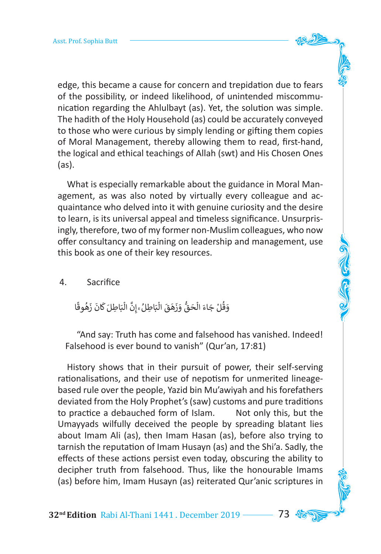edge, this became a cause for concern and trepidation due to fears of the possibility, or indeed likelihood, of unintended miscommunication regarding the Ahlulbayt (as). Yet, the solution was simple. The hadith of the Holy Household (as) could be accurately conveyed to those who were curious by simply lending or gifting them copies of Moral Management, thereby allowing them to read, first-hand, the logical and ethical teachings of Allah (swt) and His Chosen Ones (as).

What is especially remarkable about the guidance in Moral Management, as was also noted by virtually every colleague and acquaintance who delved into it with genuine curiosity and the desire to learn, is its universal appeal and timeless significance. Unsurprisingly, therefore, two of my former non-Muslim colleagues, who now offer consultancy and training on leadership and management, use this book as one of their key resources.

#### 4. Sacrifice

وَقُلْ جَاءَ الْحَقُّ وَزَهَقَ الْبَاطِلُۦۚ إِنَّ الْبَاطِلَ كَانَ زَهُوقًا ً ֺََُ<u>֓</u> ֧֧֦֧֦֧֦֧֦֧֦֧֦֧֧֦֧֦֧֦֜֜֜֓֜֜֜֜֜֜֜֜֜֜֜֞֜֜<del>֛</del> َْ ََََََ

"And say: Truth has come and falsehood has vanished. Indeed! Falsehood is ever bound to vanish" (Qur'an, 17:81)

History shows that in their pursuit of power, their self-serving rationalisations, and their use of nepotism for unmerited lineagebased rule over the people, Yazid bin Mu'awiyah and his forefathers deviated from the Holy Prophet's (saw) customs and pure traditions to practice a debauched form of Islam. Not only this, but the Umayyads wilfully deceived the people by spreading blatant lies about Imam Ali (as), then Imam Hasan (as), before also trying to tarnish the reputation of Imam Husayn (as) and the Shi'a. Sadly, the effects of these actions persist even today, obscuring the ability to decipher truth from falsehood. Thus, like the honourable Imams (as) before him, Imam Husayn (as) reiterated Qur'anic scriptures in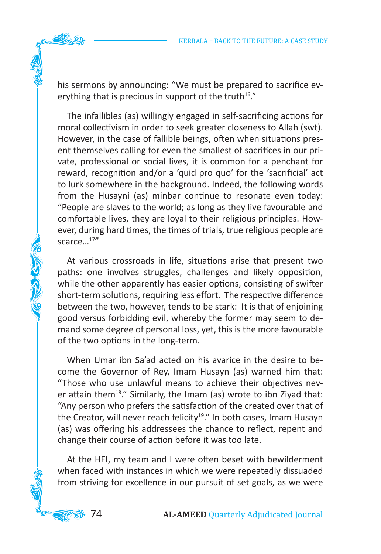his sermons by announcing: "We must be prepared to sacrifice everything that is precious in support of the truth<sup>16</sup>."

The infallibles (as) willingly engaged in self-sacrificing actions for moral collectivism in order to seek greater closeness to Allah (swt). However, in the case of fallible beings, often when situations present themselves calling for even the smallest of sacrifices in our private, professional or social lives, it is common for a penchant for reward, recognition and/or a 'quid pro quo' for the 'sacrificial' act to lurk somewhere in the background. Indeed, the following words from the Husayni (as) minbar continue to resonate even today: "People are slaves to the world; as long as they live favourable and comfortable lives, they are loyal to their religious principles. However, during hard times, the times of trials, true religious people are scarce...<sup>17"</sup>

At various crossroads in life, situations arise that present two paths: one involves struggles, challenges and likely opposition, while the other apparently has easier options, consisting of swifter short-term solutions, requiring less effort. The respective difference between the two, however, tends to be stark: It is that of enjoining good versus forbidding evil, whereby the former may seem to demand some degree of personal loss, yet, this is the more favourable of the two options in the long-term.

**AGED COMPA** 

When Umar ibn Sa'ad acted on his avarice in the desire to become the Governor of Rey, Imam Husayn (as) warned him that: "Those who use unlawful means to achieve their objectives never attain them<sup>18</sup>." Similarly, the Imam (as) wrote to ibn Ziyad that: "Any person who prefers the satisfaction of the created over that of the Creator, will never reach felicity<sup>19</sup>." In both cases, Imam Husayn (as) was offering his addressees the chance to reflect, repent and change their course of action before it was too late.

At the HEI, my team and I were often beset with bewilderment when faced with instances in which we were repeatedly dissuaded from striving for excellence in our pursuit of set goals, as we were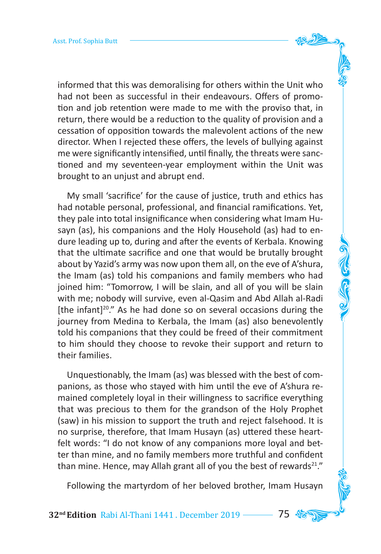informed that this was demoralising for others within the Unit who had not been as successful in their endeavours. Offers of promotion and job retention were made to me with the proviso that, in return, there would be a reduction to the quality of provision and a cessation of opposition towards the malevolent actions of the new director. When I rejected these offers, the levels of bullying against me were significantly intensified, until finally, the threats were sanctioned and my seventeen-year employment within the Unit was brought to an unjust and abrupt end.

My small 'sacrifice' for the cause of justice, truth and ethics has had notable personal, professional, and financial ramifications. Yet, they pale into total insignificance when considering what Imam Husayn (as), his companions and the Holy Household (as) had to endure leading up to, during and after the events of Kerbala. Knowing that the ultimate sacrifice and one that would be brutally brought about by Yazid's army was now upon them all, on the eve of A'shura, the Imam (as) told his companions and family members who had joined him: "Tomorrow, I will be slain, and all of you will be slain with me; nobody will survive, even al-Qasim and Abd Allah al-Radi [the infant] $20."$  As he had done so on several occasions during the journey from Medina to Kerbala, the Imam (as) also benevolently told his companions that they could be freed of their commitment to him should they choose to revoke their support and return to their families.

Unquestionably, the Imam (as) was blessed with the best of companions, as those who stayed with him until the eve of A'shura remained completely loyal in their willingness to sacrifice everything that was precious to them for the grandson of the Holy Prophet (saw) in his mission to support the truth and reject falsehood. It is no surprise, therefore, that Imam Husayn (as) uttered these heartfelt words: "I do not know of any companions more loyal and better than mine, and no family members more truthful and confident than mine. Hence, may Allah grant all of you the best of rewards $21."$ 

Following the martyrdom of her beloved brother, Imam Husayn

**32nd Edition** Rabi Al-Thani 1441 . December 2019 75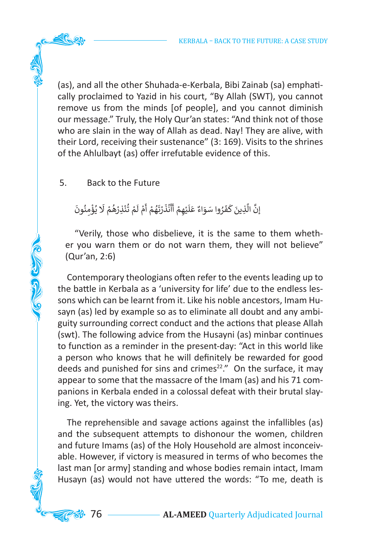KERBALA – BACK TO THE FUTURE: A CASE STUDY

(as), and all the other Shuhada-e-Kerbala, Bibi Zainab (sa) emphatically proclaimed to Yazid in his court, "By Allah (SWT), you cannot remove us from the minds [of people], and you cannot diminish our message." Truly, the Holy Qur'an states: "And think not of those who are slain in the way of Allah as dead. Nay! They are alive, with their Lord, receiving their sustenance" (3: 169). Visits to the shrines of the Ahlulbayt (as) offer irrefutable evidence of this.

# 5. Back to the Future

**COLLEGED AND** 

#### َ إِنَّ الَّذِينَ كَفَرُوا سَوَاءٌ عَلَيْهِمْ أَأَنْذَرْتَهُمْ أَمْ لَمْ تُنْذِرْهُمْ لَا يُؤْمِنُونَ ֦֧֦֧<u>֚֓</u> ُ់<br>រ ֧֧֟֓<u>֖֚֓</u> ُ َ ֺ֚ ٍ<br>ا ֺ<u>֓</u> ֦֧<u>֝</u> ֺ֘ ֧<u>֝</u> َ أ َ ֧֘֝<u>֓</u> َ َ ֺ<u>֓</u> ٍَ<br>ا َ**ृ** َّ

"Verily, those who disbelieve, it is the same to them whether you warn them or do not warn them, they will not believe" (Qur'an, 2:6)

Contemporary theologians often refer to the events leading up to the battle in Kerbala as a 'university for life' due to the endless lessons which can be learnt from it. Like his noble ancestors, Imam Husayn (as) led by example so as to eliminate all doubt and any ambiguity surrounding correct conduct and the actions that please Allah (swt). The following advice from the Husayni (as) minbar continues to function as a reminder in the present-day: "Act in this world like a person who knows that he will definitely be rewarded for good deeds and punished for sins and crimes<sup>22</sup>." On the surface, it may appear to some that the massacre of the Imam (as) and his 71 companions in Kerbala ended in a colossal defeat with their brutal slaying. Yet, the victory was theirs.

The reprehensible and savage actions against the infallibles (as) and the subsequent attempts to dishonour the women, children and future Imams (as) of the Holy Household are almost inconceivable. However, if victory is measured in terms of who becomes the last man [or army] standing and whose bodies remain intact, Imam Husayn (as) would not have uttered the words: "To me, death is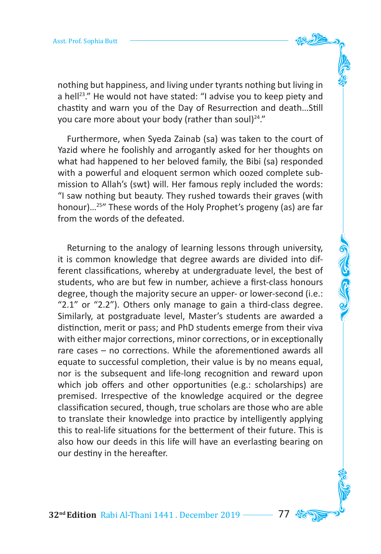nothing but happiness, and living under tyrants nothing but living in a hell<sup>23</sup>." He would not have stated: "I advise you to keep piety and chastity and warn you of the Day of Resurrection and death…Still you care more about your body (rather than soul) $24."$ 

Furthermore, when Syeda Zainab (sa) was taken to the court of Yazid where he foolishly and arrogantly asked for her thoughts on what had happened to her beloved family, the Bibi (sa) responded with a powerful and eloquent sermon which oozed complete submission to Allah's (swt) will. Her famous reply included the words: "I saw nothing but beauty. They rushed towards their graves (with honour)…25" These words of the Holy Prophet's progeny (as) are far from the words of the defeated.

Returning to the analogy of learning lessons through university, it is common knowledge that degree awards are divided into different classifications, whereby at undergraduate level, the best of students, who are but few in number, achieve a first-class honours degree, though the majority secure an upper- or lower-second (i.e.: "2.1" or "2.2"). Others only manage to gain a third-class degree. Similarly, at postgraduate level, Master's students are awarded a distinction, merit or pass; and PhD students emerge from their viva with either major corrections, minor corrections, or in exceptionally rare cases – no corrections. While the aforementioned awards all equate to successful completion, their value is by no means equal, nor is the subsequent and life-long recognition and reward upon which job offers and other opportunities (e.g.: scholarships) are premised. Irrespective of the knowledge acquired or the degree classification secured, though, true scholars are those who are able to translate their knowledge into practice by intelligently applying this to real-life situations for the betterment of their future. This is also how our deeds in this life will have an everlasting bearing on our destiny in the hereafter.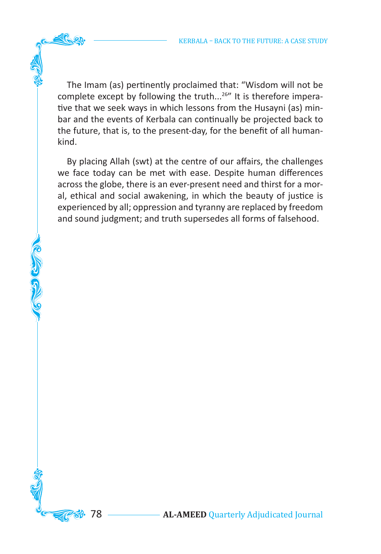The Imam (as) pertinently proclaimed that: "Wisdom will not be complete except by following the truth...<sup>26"</sup> It is therefore imperative that we seek ways in which lessons from the Husayni (as) minbar and the events of Kerbala can continually be projected back to the future, that is, to the present-day, for the benefit of all humankind.

By placing Allah (swt) at the centre of our affairs, the challenges we face today can be met with ease. Despite human differences across the globe, there is an ever-present need and thirst for a moral, ethical and social awakening, in which the beauty of justice is experienced by all; oppression and tyranny are replaced by freedom and sound judgment; and truth supersedes all forms of falsehood.